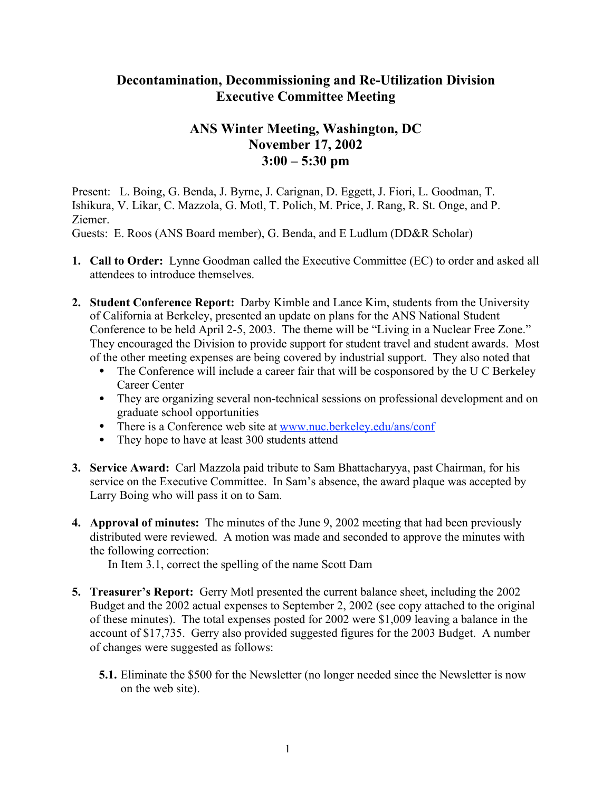## **Decontamination, Decommissioning and Re-Utilization Division Executive Committee Meeting**

## **ANS Winter Meeting, Washington, DC November 17, 2002 3:00 – 5:30 pm**

Present: L. Boing, G. Benda, J. Byrne, J. Carignan, D. Eggett, J. Fiori, L. Goodman, T. Ishikura, V. Likar, C. Mazzola, G. Motl, T. Polich, M. Price, J. Rang, R. St. Onge, and P. Ziemer.

Guests: E. Roos (ANS Board member), G. Benda, and E Ludlum (DD&R Scholar)

- **1. Call to Order:** Lynne Goodman called the Executive Committee (EC) to order and asked all attendees to introduce themselves.
- **2. Student Conference Report:** Darby Kimble and Lance Kim, students from the University of California at Berkeley, presented an update on plans for the ANS National Student Conference to be held April 2-5, 2003. The theme will be "Living in a Nuclear Free Zone." They encouraged the Division to provide support for student travel and student awards. Most of the other meeting expenses are being covered by industrial support. They also noted that

The Conference will include a career fair that will be cosponsored by the U C Berkeley Career Center

They are organizing several non-technical sessions on professional development and on graduate school opportunities

There is a Conference web site at www.nuc.berkeley.edu/ans/conf They hope to have at least 300 students attend

- **3. Service Award:** Carl Mazzola paid tribute to Sam Bhattacharyya, past Chairman, for his service on the Executive Committee. In Sam's absence, the award plaque was accepted by Larry Boing who will pass it on to Sam.
- **4. Approval of minutes:** The minutes of the June 9, 2002 meeting that had been previously distributed were reviewed. A motion was made and seconded to approve the minutes with the following correction:

In Item 3.1, correct the spelling of the name Scott Dam

- **5. Treasurer's Report:** Gerry Motl presented the current balance sheet, including the 2002 Budget and the 2002 actual expenses to September 2, 2002 (see copy attached to the original of these minutes). The total expenses posted for 2002 were \$1,009 leaving a balance in the account of \$17,735. Gerry also provided suggested figures for the 2003 Budget. A number of changes were suggested as follows:
	- **5.1.** Eliminate the \$500 for the Newsletter (no longer needed since the Newsletter is now on the web site).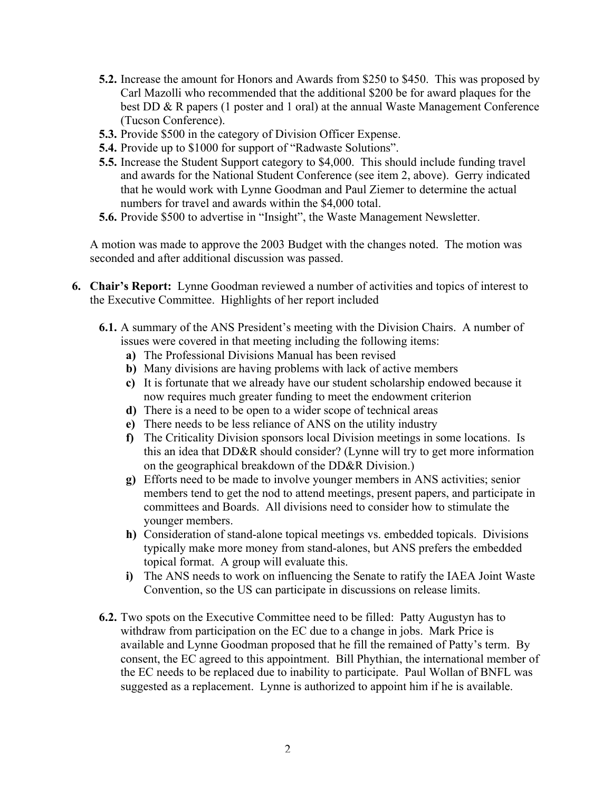- **5.2.** Increase the amount for Honors and Awards from \$250 to \$450. This was proposed by Carl Mazolli who recommended that the additional \$200 be for award plaques for the best DD & R papers (1 poster and 1 oral) at the annual Waste Management Conference (Tucson Conference).
- **5.3.** Provide \$500 in the category of Division Officer Expense.
- **5.4.** Provide up to \$1000 for support of "Radwaste Solutions".
- **5.5.** Increase the Student Support category to \$4,000. This should include funding travel and awards for the National Student Conference (see item 2, above). Gerry indicated that he would work with Lynne Goodman and Paul Ziemer to determine the actual numbers for travel and awards within the \$4,000 total.
- **5.6.** Provide \$500 to advertise in "Insight", the Waste Management Newsletter.

A motion was made to approve the 2003 Budget with the changes noted. The motion was seconded and after additional discussion was passed.

- **6. Chair's Report:** Lynne Goodman reviewed a number of activities and topics of interest to the Executive Committee. Highlights of her report included
	- **6.1.** A summary of the ANS President's meeting with the Division Chairs. A number of issues were covered in that meeting including the following items:
		- **a)** The Professional Divisions Manual has been revised
		- **b)** Many divisions are having problems with lack of active members
		- **c)** It is fortunate that we already have our student scholarship endowed because it now requires much greater funding to meet the endowment criterion
		- **d)** There is a need to be open to a wider scope of technical areas
		- **e)** There needs to be less reliance of ANS on the utility industry
		- **f)** The Criticality Division sponsors local Division meetings in some locations. Is this an idea that DD&R should consider? (Lynne will try to get more information on the geographical breakdown of the DD&R Division.)
		- **g)** Efforts need to be made to involve younger members in ANS activities; senior members tend to get the nod to attend meetings, present papers, and participate in committees and Boards. All divisions need to consider how to stimulate the younger members.
		- **h)** Consideration of stand-alone topical meetings vs. embedded topicals. Divisions typically make more money from stand-alones, but ANS prefers the embedded topical format. A group will evaluate this.
		- **i)** The ANS needs to work on influencing the Senate to ratify the IAEA Joint Waste Convention, so the US can participate in discussions on release limits.
	- **6.2.** Two spots on the Executive Committee need to be filled: Patty Augustyn has to withdraw from participation on the EC due to a change in jobs. Mark Price is available and Lynne Goodman proposed that he fill the remained of Patty's term. By consent, the EC agreed to this appointment. Bill Phythian, the international member of the EC needs to be replaced due to inability to participate. Paul Wollan of BNFL was suggested as a replacement. Lynne is authorized to appoint him if he is available.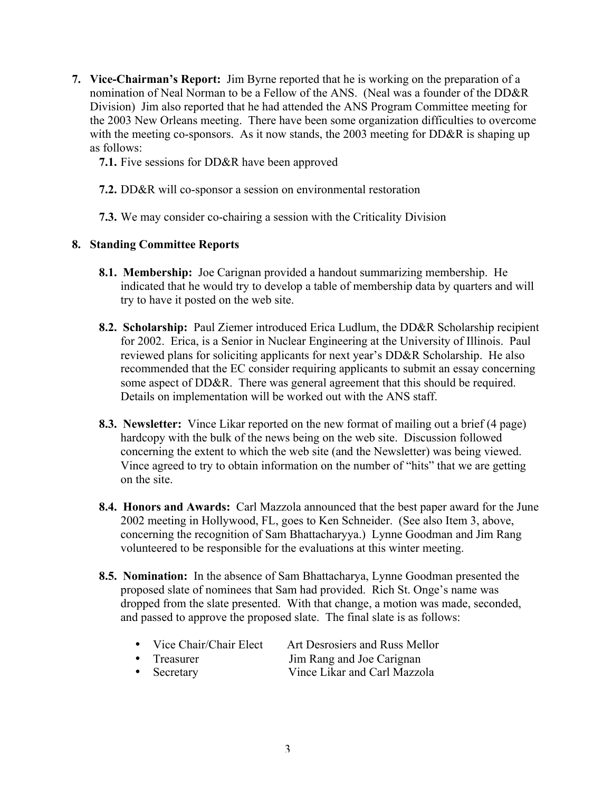- **7. Vice-Chairman's Report:** Jim Byrne reported that he is working on the preparation of a nomination of Neal Norman to be a Fellow of the ANS. (Neal was a founder of the DD&R Division) Jim also reported that he had attended the ANS Program Committee meeting for the 2003 New Orleans meeting. There have been some organization difficulties to overcome with the meeting co-sponsors. As it now stands, the 2003 meeting for DD&R is shaping up as follows:
	- **7.1.** Five sessions for DD&R have been approved
	- **7.2.** DD&R will co-sponsor a session on environmental restoration
	- **7.3.** We may consider co-chairing a session with the Criticality Division

## **8. Standing Committee Reports**

- **8.1. Membership:** Joe Carignan provided a handout summarizing membership. He indicated that he would try to develop a table of membership data by quarters and will try to have it posted on the web site.
- **8.2. Scholarship:** Paul Ziemer introduced Erica Ludlum, the DD&R Scholarship recipient for 2002. Erica, is a Senior in Nuclear Engineering at the University of Illinois. Paul reviewed plans for soliciting applicants for next year's DD&R Scholarship. He also recommended that the EC consider requiring applicants to submit an essay concerning some aspect of DD&R. There was general agreement that this should be required. Details on implementation will be worked out with the ANS staff.
- **8.3. Newsletter:** Vince Likar reported on the new format of mailing out a brief (4 page) hardcopy with the bulk of the news being on the web site. Discussion followed concerning the extent to which the web site (and the Newsletter) was being viewed. Vince agreed to try to obtain information on the number of "hits" that we are getting on the site.
- **8.4. Honors and Awards:** Carl Mazzola announced that the best paper award for the June 2002 meeting in Hollywood, FL, goes to Ken Schneider. (See also Item 3, above, concerning the recognition of Sam Bhattacharyya.) Lynne Goodman and Jim Rang volunteered to be responsible for the evaluations at this winter meeting.
- **8.5. Nomination:** In the absence of Sam Bhattacharya, Lynne Goodman presented the proposed slate of nominees that Sam had provided. Rich St. Onge's name was dropped from the slate presented. With that change, a motion was made, seconded, and passed to approve the proposed slate. The final slate is as follows:

| Vice Chair/Chair Elect | Art Desrosiers and Russ Mellor |
|------------------------|--------------------------------|
| Treasurer              | Jim Rang and Joe Carignan      |
| Secretary              | Vince Likar and Carl Mazzola   |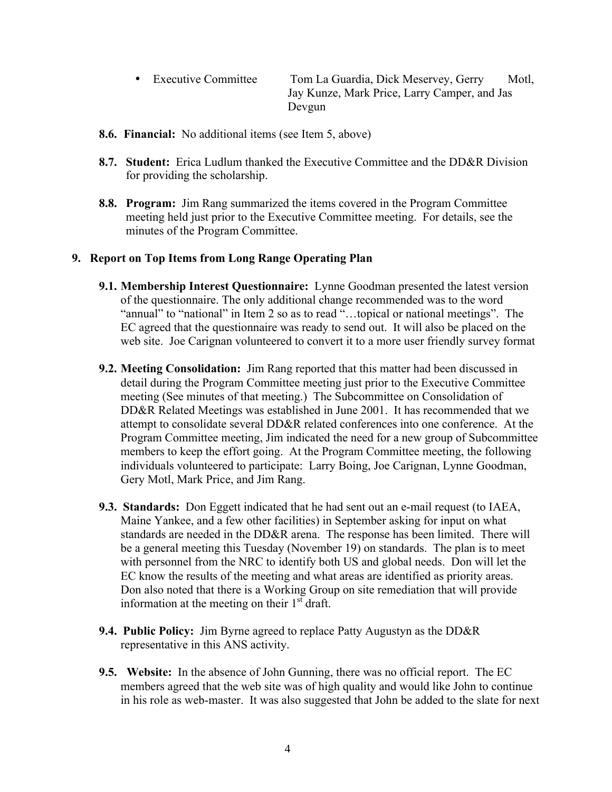Executive Committee Tom La Guardia, Dick Meservey, Gerry Motl, Jay Kunze, Mark Price, Larry Camper, and Jas Devgun

- **8.6. Financial:** No additional items (see Item 5, above)
- **8.7. Student:** Erica Ludlum thanked the Executive Committee and the DD&R Division for providing the scholarship.
- **8.8. Program:** Jim Rang summarized the items covered in the Program Committee meeting held just prior to the Executive Committee meeting. For details, see the minutes of the Program Committee.

## **9. Report on Top Items from Long Range Operating Plan**

- **9.1. Membership Interest Questionnaire:** Lynne Goodman presented the latest version of the questionnaire. The only additional change recommended was to the word "annual" to "national" in Item 2 so as to read "…topical or national meetings". The EC agreed that the questionnaire was ready to send out. It will also be placed on the web site. Joe Carignan volunteered to convert it to a more user friendly survey format
- **9.2. Meeting Consolidation:** Jim Rang reported that this matter had been discussed in detail during the Program Committee meeting just prior to the Executive Committee meeting (See minutes of that meeting.) The Subcommittee on Consolidation of DD&R Related Meetings was established in June 2001. It has recommended that we attempt to consolidate several DD&R related conferences into one conference. At the Program Committee meeting, Jim indicated the need for a new group of Subcommittee members to keep the effort going. At the Program Committee meeting, the following individuals volunteered to participate: Larry Boing, Joe Carignan, Lynne Goodman, Gery Motl, Mark Price, and Jim Rang.
- **9.3. Standards:** Don Eggett indicated that he had sent out an e-mail request (to IAEA, Maine Yankee, and a few other facilities) in September asking for input on what standards are needed in the DD&R arena. The response has been limited. There will be a general meeting this Tuesday (November 19) on standards. The plan is to meet with personnel from the NRC to identify both US and global needs. Don will let the EC know the results of the meeting and what areas are identified as priority areas. Don also noted that there is a Working Group on site remediation that will provide information at the meeting on their  $1<sup>st</sup>$  draft.
- **9.4. Public Policy:** Jim Byrne agreed to replace Patty Augustyn as the DD&R representative in this ANS activity.
- **9.5. Website:** In the absence of John Gunning, there was no official report. The EC members agreed that the web site was of high quality and would like John to continue in his role as web-master. It was also suggested that John be added to the slate for next